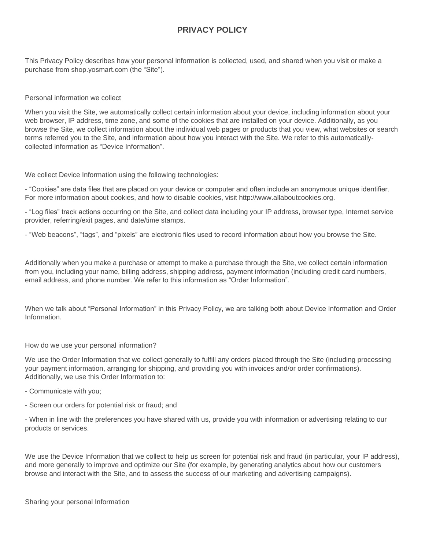# **PRIVACY POLICY**

This Privacy Policy describes how your personal information is collected, used, and shared when you visit or make a purchase from shop.yosmart.com (the "Site").

# Personal information we collect

When you visit the Site, we automatically collect certain information about your device, including information about your web browser, IP address, time zone, and some of the cookies that are installed on your device. Additionally, as you browse the Site, we collect information about the individual web pages or products that you view, what websites or search terms referred you to the Site, and information about how you interact with the Site. We refer to this automaticallycollected information as "Device Information".

We collect Device Information using the following technologies:

- "Cookies" are data files that are placed on your device or computer and often include an anonymous unique identifier. For more information about cookies, and how to disable cookies, visit http://www.allaboutcookies.org.

- "Log files" track actions occurring on the Site, and collect data including your IP address, browser type, Internet service provider, referring/exit pages, and date/time stamps.

- "Web beacons", "tags", and "pixels" are electronic files used to record information about how you browse the Site.

Additionally when you make a purchase or attempt to make a purchase through the Site, we collect certain information from you, including your name, billing address, shipping address, payment information (including credit card numbers, email address, and phone number. We refer to this information as "Order Information".

When we talk about "Personal Information" in this Privacy Policy, we are talking both about Device Information and Order Information.

How do we use your personal information?

We use the Order Information that we collect generally to fulfill any orders placed through the Site (including processing your payment information, arranging for shipping, and providing you with invoices and/or order confirmations). Additionally, we use this Order Information to:

- Communicate with you;

- Screen our orders for potential risk or fraud; and

- When in line with the preferences you have shared with us, provide you with information or advertising relating to our products or services.

We use the Device Information that we collect to help us screen for potential risk and fraud (in particular, your IP address), and more generally to improve and optimize our Site (for example, by generating analytics about how our customers browse and interact with the Site, and to assess the success of our marketing and advertising campaigns).

Sharing your personal Information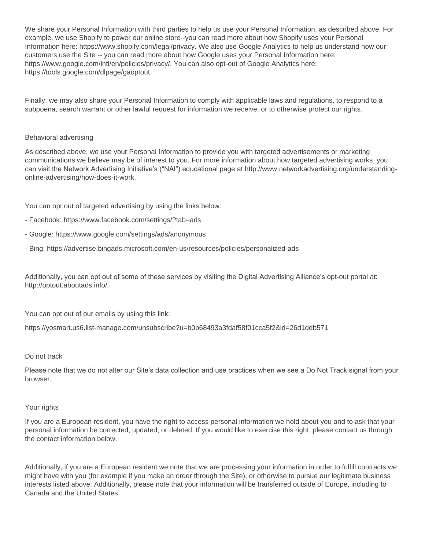We share your Personal Information with third parties to help us use your Personal Information, as described above. For example, we use Shopify to power our online store--you can read more about how Shopify uses your Personal Information here: https://www.shopify.com/legal/privacy. We also use Google Analytics to help us understand how our customers use the Site -- you can read more about how Google uses your Personal Information here: https://www.google.com/intl/en/policies/privacy/. You can also opt-out of Google Analytics here: https://tools.google.com/dlpage/gaoptout.

Finally, we may also share your Personal Information to comply with applicable laws and regulations, to respond to a subpoena, search warrant or other lawful request for information we receive, or to otherwise protect our rights.

# Behavioral advertising

As described above, we use your Personal Information to provide you with targeted advertisements or marketing communications we believe may be of interest to you. For more information about how targeted advertising works, you can visit the Network Advertising Initiative's ("NAI") educational page at http://www.networkadvertising.org/understandingonline-advertising/how-does-it-work.

You can opt out of targeted advertising by using the links below:

- Facebook: https://www.facebook.com/settings/?tab=ads
- Google: https://www.google.com/settings/ads/anonymous
- Bing: https://advertise.bingads.microsoft.com/en-us/resources/policies/personalized-ads

Additionally, you can opt out of some of these services by visiting the Digital Advertising Alliance's opt-out portal at: http://optout.aboutads.info/.

You can opt out of our emails by using this link:

https://yosmart.us6.list-manage.com/unsubscribe?u=b0b68493a3fdaf58f01cca5f2&id=26d1ddb571

#### Do not track

Please note that we do not alter our Site's data collection and use practices when we see a Do Not Track signal from your browser.

#### Your rights

If you are a European resident, you have the right to access personal information we hold about you and to ask that your personal information be corrected, updated, or deleted. If you would like to exercise this right, please contact us through the contact information below.

Additionally, if you are a European resident we note that we are processing your information in order to fulfill contracts we might have with you (for example if you make an order through the Site), or otherwise to pursue our legitimate business interests listed above. Additionally, please note that your information will be transferred outside of Europe, including to Canada and the United States.